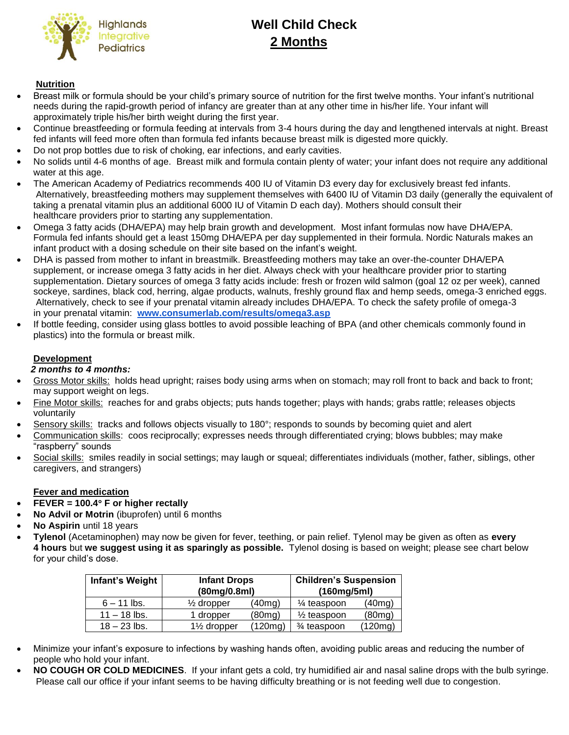

# **Well Child Check 2 Months**

## **Nutrition**

- Breast milk or formula should be your child's primary source of nutrition for the first twelve months. Your infant's nutritional needs during the rapid-growth period of infancy are greater than at any other time in his/her life. Your infant will approximately triple his/her birth weight during the first year.
- Continue breastfeeding or formula feeding at intervals from 3-4 hours during the day and lengthened intervals at night. Breast fed infants will feed more often than formula fed infants because breast milk is digested more quickly.
- Do not prop bottles due to risk of choking, ear infections, and early cavities.
- No solids until 4-6 months of age. Breast milk and formula contain plenty of water; your infant does not require any additional water at this age.
- The American Academy of Pediatrics recommends 400 IU of Vitamin D3 every day for exclusively breast fed infants. Alternatively, breastfeeding mothers may supplement themselves with 6400 IU of Vitamin D3 daily (generally the equivalent of taking a prenatal vitamin plus an additional 6000 IU of Vitamin D each day). Mothers should consult their healthcare providers prior to starting any supplementation.
- Omega 3 fatty acids (DHA/EPA) may help brain growth and development. Most infant formulas now have DHA/EPA. Formula fed infants should get a least 150mg DHA/EPA per day supplemented in their formula. Nordic Naturals makes an infant product with a dosing schedule on their site based on the infant's weight.
- DHA is passed from mother to infant in breastmilk. Breastfeeding mothers may take an over-the-counter DHA/EPA supplement, or increase omega 3 fatty acids in her diet. Always check with your healthcare provider prior to starting supplementation. Dietary sources of omega 3 fatty acids include: fresh or frozen wild salmon (goal 12 oz per week), canned sockeye, sardines, black cod, herring, algae products, walnuts, freshly ground flax and hemp seeds, omega-3 enriched eggs. Alternatively, check to see if your prenatal vitamin already includes DHA/EPA. To check the safety profile of omega-3 in your prenatal vitamin: **[www.consumerlab.com/results/omega3.asp](http://www.consumerlab.com/results/omega3.asp)**
- If bottle feeding, consider using glass bottles to avoid possible leaching of BPA (and other chemicals commonly found in plastics) into the formula or breast milk.

## **Development**

## *2 months to 4 months:*

- Gross Motor skills: holds head upright; raises body using arms when on stomach; may roll front to back and back to front; may support weight on legs.
- Fine Motor skills: reaches for and grabs objects; puts hands together; plays with hands; grabs rattle; releases objects voluntarily
- Sensory skills: tracks and follows objects visually to 180°; responds to sounds by becoming quiet and alert
- Communication skills: coos reciprocally; expresses needs through differentiated crying; blows bubbles; may make "raspberry" sounds
- Social skills: smiles readily in social settings; may laugh or squeal; differentiates individuals (mother, father, siblings, other caregivers, and strangers)

#### **Fever and medication**

- **FEVER = 100.4 F or higher rectally**
- **No Advil or Motrin** (ibuprofen) until 6 months
- **No Aspirin** until 18 years
- **Tylenol** (Acetaminophen) may now be given for fever, teething, or pain relief. Tylenol may be given as often as **every 4 hours** but **we suggest using it as sparingly as possible.** Tylenol dosing is based on weight; please see chart below for your child's dose.

| Infant's Weight | <b>Infant Drops</b><br>(80mg/0.8ml)   |         | <b>Children's Suspension</b><br>(160mg/5ml) |         |
|-----------------|---------------------------------------|---------|---------------------------------------------|---------|
| $6 - 11$ lbs.   | $\frac{1}{2}$ dropper                 | (40mg)  | $\frac{1}{4}$ teaspoon                      | (40mg)  |
| $11 - 18$ lbs.  | 1 dropper                             | (80mg)  | $\frac{1}{2}$ teaspoon                      | (80mg)  |
| $18 - 23$ lbs.  | 1 <sup>1</sup> / <sub>2</sub> dropper | (120mg) | 3⁄4 teaspoon                                | (120mg) |

- Minimize your infant's exposure to infections by washing hands often, avoiding public areas and reducing the number of people who hold your infant.
- **NO COUGH OR COLD MEDICINES**. If your infant gets a cold, try humidified air and nasal saline drops with the bulb syringe. Please call our office if your infant seems to be having difficulty breathing or is not feeding well due to congestion.